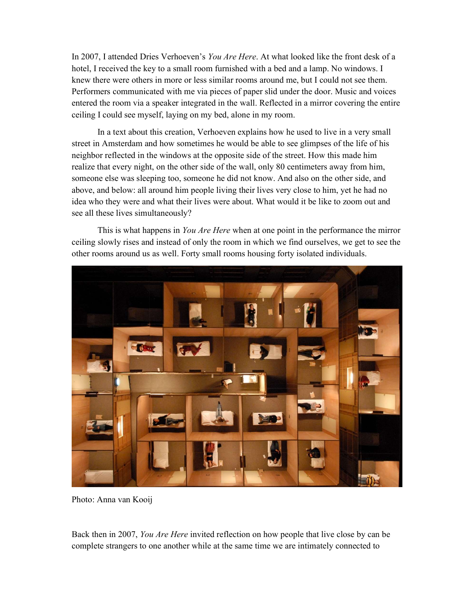In 2007, I attended Dries Verhoeven's You Are Here. At what looked like the front desk of a hotel, I received the key to a small room furnished with a bed and a lamp. No windows. I knew there were others in more or less similar rooms around me, but I could not see them. Performers communicated with me via pieces of paper slid under the door. Music and voices entered the room via a speaker integrated in the wall. Reflected in a mirror covering the entire ceiling I could see myself, laying on my bed, alone in my room.

 In a text about this creation, Verhoeven explains how he used to live in a very small street in Amsterdam and how sometimes he would be able to see glimpses of the life of his neighbor reflected in the windows at the opposite side of the street. How this made him realize that every night, on the other side of the wall, only 80 centimeters away from him, someone else was sleeping too, someone he did not know. And also on the other side, and above, and below: all around him people living their lives very close to him, yet he had no idea who they were and what their lives were about. What would it be like to zoom out and see all these lives simultaneously?

This is what happens in You Are Here when at one point in the performance the mirror ceiling slowly rises and instead of only the room in which we find ourselves, we get to see the other rooms around us as well. Forty small rooms housing forty isolated individuals.



Photo: Anna van Kooij

Back then in 2007, You Are Here invited reflection on how people that live close by can be complete strangers to one another while at the same time we are intimately connected to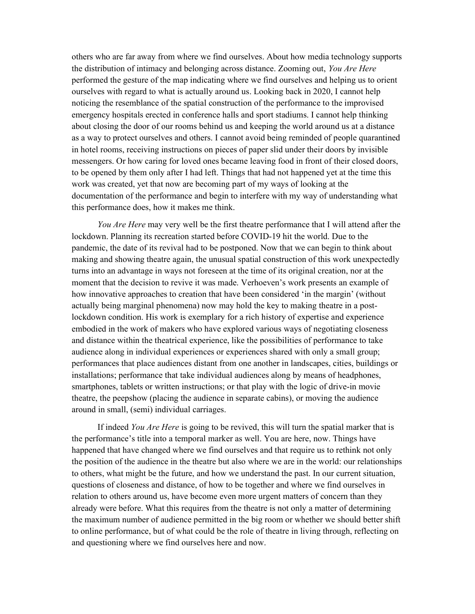others who are far away from where we find ourselves. About how media technology supports the distribution of intimacy and belonging across distance. Zooming out, You Are Here performed the gesture of the map indicating where we find ourselves and helping us to orient ourselves with regard to what is actually around us. Looking back in 2020, I cannot help noticing the resemblance of the spatial construction of the performance to the improvised emergency hospitals erected in conference halls and sport stadiums. I cannot help thinking about closing the door of our rooms behind us and keeping the world around us at a distance as a way to protect ourselves and others. I cannot avoid being reminded of people quarantined in hotel rooms, receiving instructions on pieces of paper slid under their doors by invisible messengers. Or how caring for loved ones became leaving food in front of their closed doors, to be opened by them only after I had left. Things that had not happened yet at the time this work was created, yet that now are becoming part of my ways of looking at the documentation of the performance and begin to interfere with my way of understanding what this performance does, how it makes me think.

You Are Here may very well be the first theatre performance that I will attend after the lockdown. Planning its recreation started before COVID-19 hit the world. Due to the pandemic, the date of its revival had to be postponed. Now that we can begin to think about making and showing theatre again, the unusual spatial construction of this work unexpectedly turns into an advantage in ways not foreseen at the time of its original creation, nor at the moment that the decision to revive it was made. Verhoeven's work presents an example of how innovative approaches to creation that have been considered 'in the margin' (without actually being marginal phenomena) now may hold the key to making theatre in a postlockdown condition. His work is exemplary for a rich history of expertise and experience embodied in the work of makers who have explored various ways of negotiating closeness and distance within the theatrical experience, like the possibilities of performance to take audience along in individual experiences or experiences shared with only a small group; performances that place audiences distant from one another in landscapes, cities, buildings or installations; performance that take individual audiences along by means of headphones, smartphones, tablets or written instructions; or that play with the logic of drive-in movie theatre, the peepshow (placing the audience in separate cabins), or moving the audience around in small, (semi) individual carriages.

If indeed You Are Here is going to be revived, this will turn the spatial marker that is the performance's title into a temporal marker as well. You are here, now. Things have happened that have changed where we find ourselves and that require us to rethink not only the position of the audience in the theatre but also where we are in the world: our relationships to others, what might be the future, and how we understand the past. In our current situation, questions of closeness and distance, of how to be together and where we find ourselves in relation to others around us, have become even more urgent matters of concern than they already were before. What this requires from the theatre is not only a matter of determining the maximum number of audience permitted in the big room or whether we should better shift to online performance, but of what could be the role of theatre in living through, reflecting on and questioning where we find ourselves here and now.